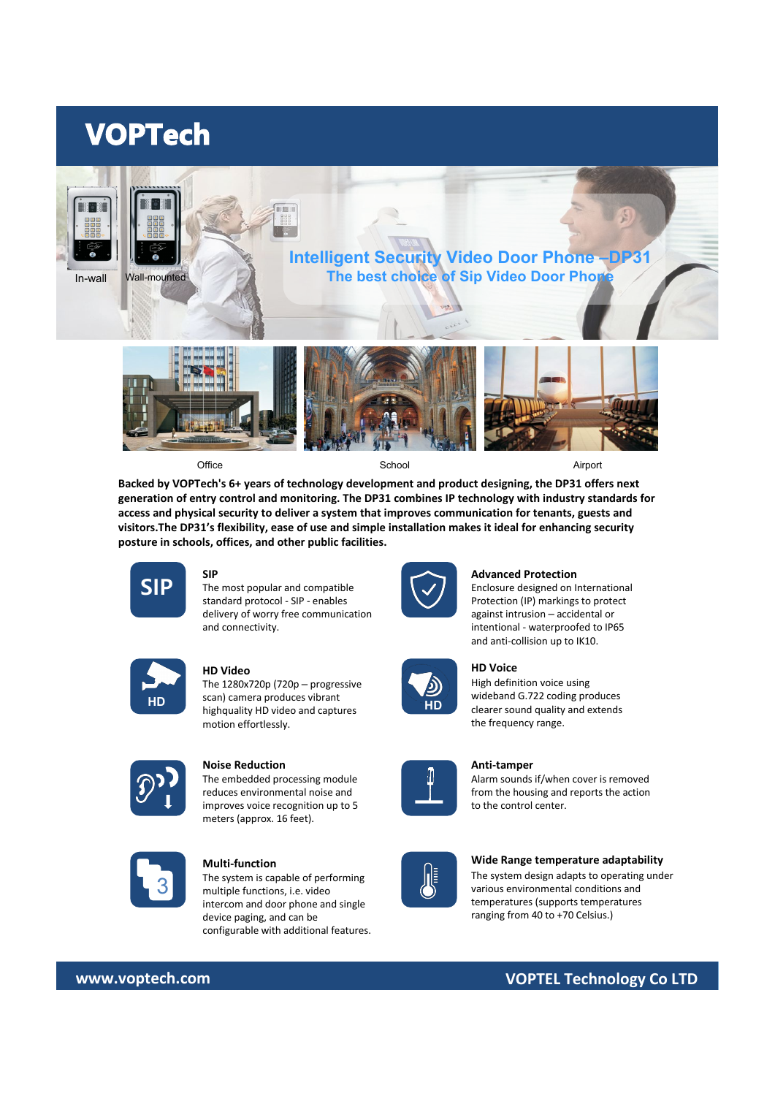# **VOPTech**



Office **School Airport** School School Airport Airport

**Backed by VOPTech's 6+ years of technology development and product designing, the DP31 offers next generation of entry control and monitoring. The DP31 combines IP technology with industry standards for access and physical security to deliver a system that improves communication for tenants, guests and visitors.The DP31's flexibility, ease of use and simple installation makes it ideal for enhancing security posture in schools, offices, and other public facilities.** 



# **SIP**

 $\textsf{SIP}$  The most popular and compatible  $\left\{\checkmark\right\}$ standard protocol - SIP - enables delivery of worry free communication and connectivity.



# **HD Video**

**HD HD can can be computed** to **HD HD Clearer sound quality and extends** the high produces the clearer sound quality and extends The 1280x720p (720p – progressive scan) camera produces vibrant highquality HD video and captures motion effortlessly.



#### **Noise Reduction**

The embedded processing module reduces environmental noise and improves voice recognition up to 5 meters (approx. 16 feet).



## **Multi-function**

**3** The system is capable of performing<br> **3** multiple functions, i.e. video The system is capable of performing intercom and door phone and single device paging, and can be configurable with additional features.



#### **Advanced Protection**

Enclosure designed on International Protection (IP) markings to protect against intrusion – accidental or intentional - waterproofed to IP65 and anti-collision up to IK10.



# **HD Voice**

High definition voice using wideband G.722 coding produces the frequency range.



# **Anti-tamper**

Alarm sounds if/when cover is removed from the housing and reports the action to the control center.

## **Wide Range temperature adaptability**

The system design adapts to operating under various environmental conditions and temperatures (supports temperatures ranging from 40 to +70 Celsius.)